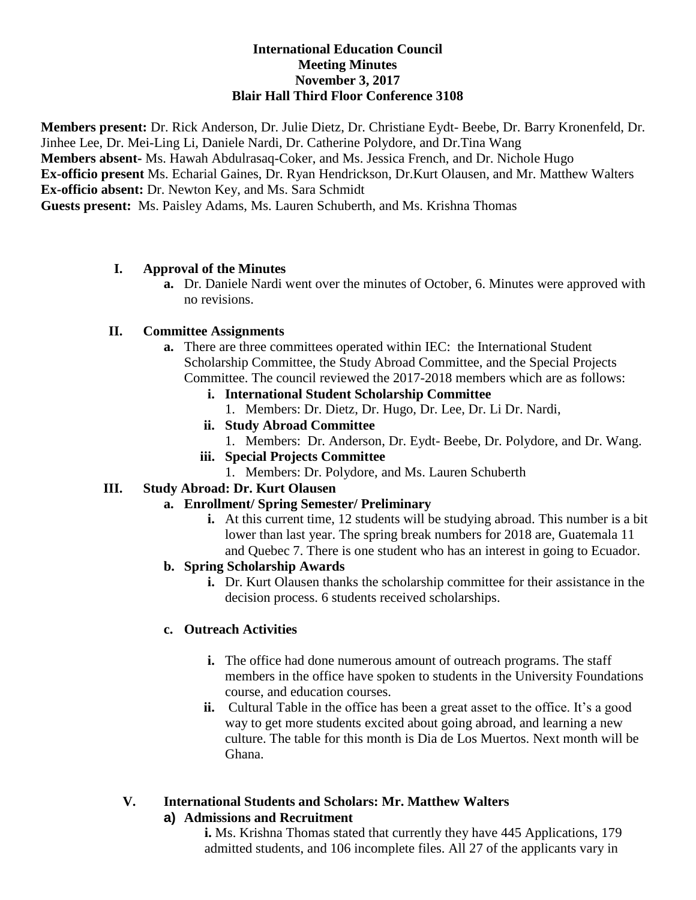### **International Education Council Meeting Minutes November 3, 2017 Blair Hall Third Floor Conference 3108**

**Members present:** Dr. Rick Anderson, Dr. Julie Dietz, Dr. Christiane Eydt- Beebe, Dr. Barry Kronenfeld, Dr. Jinhee Lee, Dr. Mei-Ling Li, Daniele Nardi, Dr. Catherine Polydore, and Dr.Tina Wang **Members absent-** Ms. Hawah Abdulrasaq-Coker, and Ms. Jessica French, and Dr. Nichole Hugo **Ex-officio present** Ms. Echarial Gaines, Dr. Ryan Hendrickson, Dr.Kurt Olausen, and Mr. Matthew Walters **Ex-officio absent:** Dr. Newton Key, and Ms. Sara Schmidt **Guests present:** Ms. Paisley Adams, Ms. Lauren Schuberth, and Ms. Krishna Thomas

### **I. Approval of the Minutes**

**a.** Dr. Daniele Nardi went over the minutes of October, 6. Minutes were approved with no revisions.

### **II. Committee Assignments**

- **a.** There are three committees operated within IEC: the International Student Scholarship Committee, the Study Abroad Committee, and the Special Projects Committee. The council reviewed the 2017-2018 members which are as follows:
	- **i. International Student Scholarship Committee**
		- 1. Members: Dr. Dietz, Dr. Hugo, Dr. Lee, Dr. Li Dr. Nardi,
	- **ii. Study Abroad Committee**
		- 1. Members: Dr. Anderson, Dr. Eydt- Beebe, Dr. Polydore, and Dr. Wang.
	- **iii. Special Projects Committee**
		- 1. Members: Dr. Polydore, and Ms. Lauren Schuberth

## **III. Study Abroad: Dr. Kurt Olausen**

## **a. Enrollment/ Spring Semester/ Preliminary**

**i.** At this current time, 12 students will be studying abroad. This number is a bit lower than last year. The spring break numbers for 2018 are, Guatemala 11 and Quebec 7. There is one student who has an interest in going to Ecuador.

# **b. Spring Scholarship Awards**

**i.** Dr. Kurt Olausen thanks the scholarship committee for their assistance in the decision process. 6 students received scholarships.

## **c. Outreach Activities**

- **i.** The office had done numerous amount of outreach programs. The staff members in the office have spoken to students in the University Foundations course, and education courses.
- **ii.** Cultural Table in the office has been a great asset to the office. It's a good way to get more students excited about going abroad, and learning a new culture. The table for this month is Dia de Los Muertos. Next month will be Ghana.

## **V. International Students and Scholars: Mr. Matthew Walters**

## **a) Admissions and Recruitment**

**i.** Ms. Krishna Thomas stated that currently they have 445 Applications, 179 admitted students, and 106 incomplete files. All 27 of the applicants vary in